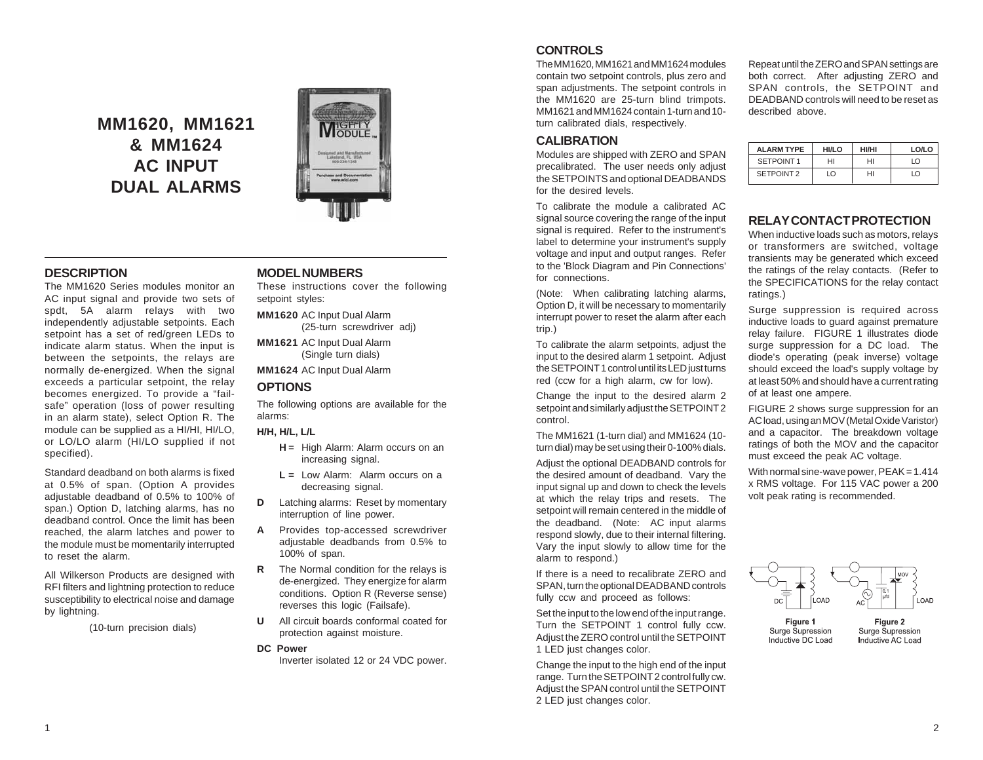# **MM1620, MM1621 & MM1624 AC INPUT DUAL ALARMS**



# **DESCRIPTION**

The MM1620 Series modules monitor an AC input signal and provide two sets of spdt, 5A alarm relays with two independently adjustable setpoints. Each setpoint has a set of red/green LEDs to indicate alarm status. When the input is between the setpoints, the relays are normally de-energized. When the signal exceeds a particular setpoint, the relay becomes energized. To provide a "failsafe" operation (loss of power resulting in an alarm state), select Option R. The module can be supplied as a HI/HI, HI/LO, or LO/LO alarm (HI/LO supplied if not specified).

Standard deadband on both alarms is fixed at 0.5% of span. (Option A provides adjustable deadband of 0.5% to 100% of span.) Option D, latching alarms, has no deadband control. Once the limit has been reached, the alarm latches and power to the module must be momentarily interrupted to reset the alarm.

All Wilkerson Products are designed with RFI filters and lightning protection to reduce susceptibility to electrical noise and damage by lightning.

(10-turn precision dials)

## **MODEL NUMBERS**

These instructions cover the following setpoint styles:

**MM1620** AC Input Dual Alarm

(25-turn screwdriver adj) **MM1621** AC Input Dual Alarm

(Single turn dials)

**MM1624** AC Input Dual Alarm

## **OPTIONS**

The following options are available for the alarms:

### **H/H, H/L, L/L**

- **H** = High Alarm: Alarm occurs on an increasing signal.
- **L =** Low Alarm: Alarm occurs on a decreasing signal.
- **D** Latching alarms: Reset by momentary interruption of line power.
- **A** Provides top-accessed screwdriver adjustable deadbands from 0.5% to 100% of span.
- **R** The Normal condition for the relays is de-energized. They energize for alarm conditions. Option R (Reverse sense) reverses this logic (Failsafe).
- **U** All circuit boards conformal coated for protection against moisture.

#### **DC Power**

Inverter isolated 12 or 24 VDC power.

# **CONTROLS**

The MM1620, MM1621 and MM1624 modules contain two setpoint controls, plus zero and span adjustments. The setpoint controls in the MM1620 are 25-turn blind trimpots. MM1621 and MM1624 contain 1-turn and 10 turn calibrated dials, respectively.

## **CALIBRATION**

Modules are shipped with ZERO and SPAN precalibrated. The user needs only adjust the SETPOINTS and optional DEADBANDS for the desired levels.

To calibrate the module a calibrated AC signal source covering the range of the input signal is required. Refer to the instrument's label to determine your instrument's supply voltage and input and output ranges. Refer to the 'Block Diagram and Pin Connections' for connections.

(Note: When calibrating latching alarms, Option D, it will be necessary to momentarily interrupt power to reset the alarm after each trip.)

To calibrate the alarm setpoints, adjust the input to the desired alarm 1 setpoint. Adjust the SETPOINT 1 control until its LED just turns red (ccw for a high alarm, cw for low).

Change the input to the desired alarm 2 setpoint and similarly adjust the SETPOINT 2 control.

The MM1621 (1-turn dial) and MM1624 (10 turn dial) may be set using their 0-100% dials.

Adjust the optional DEADBAND controls for the desired amount of deadband. Vary the input signal up and down to check the levels at which the relay trips and resets. The setpoint will remain centered in the middle of the deadband. (Note: AC input alarms respond slowly, due to their internal filtering. Vary the input slowly to allow time for the alarm to respond.)

If there is a need to recalibrate ZERO and SPAN, turn the optional DEADBAND controls fully ccw and proceed as follows:

Set the input to the low end of the input range. Turn the SETPOINT 1 control fully ccw. Adjust the ZERO control until the SETPOINT 1 LED just changes color.

Change the input to the high end of the input range. Turn the SETPOINT 2 control fully cw. Adjust the SPAN control until the SETPOINT 2 LED just changes color.

Repeat until the ZERO and SPAN settings are both correct. After adjusting ZERO and SPAN controls, the SETPOINT and DEADBAND controls will need to be reset as described above.

| <b>ALARM TYPE</b> | <b>HI/LO</b> | <b>HI/HI</b> | LO/LO               |
|-------------------|--------------|--------------|---------------------|
| <b>SETPOINT1</b>  | НΙ           | нı           | $\overline{\Omega}$ |
| SETPOINT 2        | חו           | HI           | חו                  |

# **RELAY CONTACT PROTECTION**

When inductive loads such as motors, relays or transformers are switched, voltage transients may be generated which exceed the ratings of the relay contacts. (Refer to the SPECIFICATIONS for the relay contact ratings.)

Surge suppression is required across inductive loads to guard against premature relay failure. FIGURE 1 illustrates diode surge suppression for a DC load. The diode's operating (peak inverse) voltage should exceed the load's supply voltage by at least 50% and should have a current rating of at least one ampere.

FIGURE 2 shows surge suppression for an AC load, using an MOV (Metal Oxide Varistor) and a capacitor. The breakdown voltage ratings of both the MOV and the capacitor must exceed the peak AC voltage.

With normal sine-wave power,  $PEAK = 1.414$ x RMS voltage. For 115 VAC power a 200 volt peak rating is recommended.



Figure 1 Surge Supression Inductive DC Load

Figure 2 Surge Supression Inductive AC Load